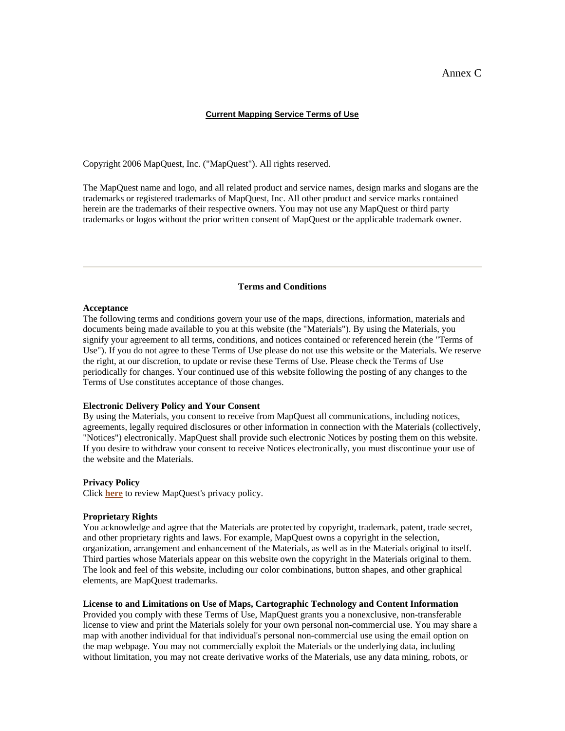# Annex C

#### **Current Mapping Service Terms of Use**

Copyright 2006 MapQuest, Inc. ("MapQuest"). All rights reserved.

The MapQuest name and logo, and all related product and service names, design marks and slogans are the trademarks or registered trademarks of MapQuest, Inc. All other product and service marks contained herein are the trademarks of their respective owners. You may not use any MapQuest or third party trademarks or logos without the prior written consent of MapQuest or the applicable trademark owner.

## **Terms and Conditions**

#### **Acceptance**

The following terms and conditions govern your use of the maps, directions, information, materials and documents being made available to you at this website (the "Materials"). By using the Materials, you signify your agreement to all terms, conditions, and notices contained or referenced herein (the "Terms of Use"). If you do not agree to these Terms of Use please do not use this website or the Materials. We reserve the right, at our discretion, to update or revise these Terms of Use. Please check the Terms of Use periodically for changes. Your continued use of this website following the posting of any changes to the Terms of Use constitutes acceptance of those changes.

## **Electronic Delivery Policy and Your Consent**

By using the Materials, you consent to receive from MapQuest all communications, including notices, agreements, legally required disclosures or other information in connection with the Materials (collectively, "Notices") electronically. MapQuest shall provide such electronic Notices by posting them on this website. If you desire to withdraw your consent to receive Notices electronically, you must discontinue your use of the website and the Materials.

#### **Privacy Policy**

Click **here** to review MapQuest's privacy policy.

#### **Proprietary Rights**

You acknowledge and agree that the Materials are protected by copyright, trademark, patent, trade secret, and other proprietary rights and laws. For example, MapQuest owns a copyright in the selection, organization, arrangement and enhancement of the Materials, as well as in the Materials original to itself. Third parties whose Materials appear on this website own the copyright in the Materials original to them. The look and feel of this website, including our color combinations, button shapes, and other graphical elements, are MapQuest trademarks.

#### **License to and Limitations on Use of Maps, Cartographic Technology and Content Information**

Provided you comply with these Terms of Use, MapQuest grants you a nonexclusive, non-transferable license to view and print the Materials solely for your own personal non-commercial use. You may share a map with another individual for that individual's personal non-commercial use using the email option on the map webpage. You may not commercially exploit the Materials or the underlying data, including without limitation, you may not create derivative works of the Materials, use any data mining, robots, or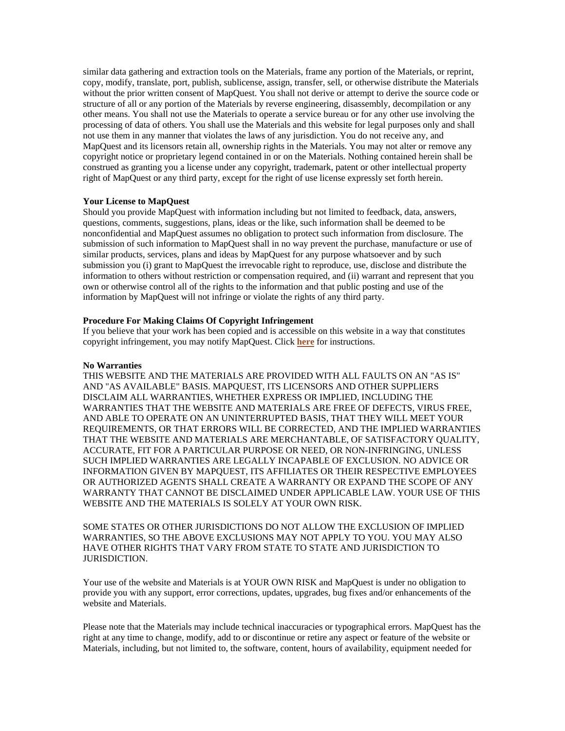similar data gathering and extraction tools on the Materials, frame any portion of the Materials, or reprint, copy, modify, translate, port, publish, sublicense, assign, transfer, sell, or otherwise distribute the Materials without the prior written consent of MapQuest. You shall not derive or attempt to derive the source code or structure of all or any portion of the Materials by reverse engineering, disassembly, decompilation or any other means. You shall not use the Materials to operate a service bureau or for any other use involving the processing of data of others. You shall use the Materials and this website for legal purposes only and shall not use them in any manner that violates the laws of any jurisdiction. You do not receive any, and MapQuest and its licensors retain all, ownership rights in the Materials. You may not alter or remove any copyright notice or proprietary legend contained in or on the Materials. Nothing contained herein shall be construed as granting you a license under any copyright, trademark, patent or other intellectual property right of MapQuest or any third party, except for the right of use license expressly set forth herein.

## **Your License to MapQuest**

Should you provide MapQuest with information including but not limited to feedback, data, answers, questions, comments, suggestions, plans, ideas or the like, such information shall be deemed to be nonconfidential and MapQuest assumes no obligation to protect such information from disclosure. The submission of such information to MapQuest shall in no way prevent the purchase, manufacture or use of similar products, services, plans and ideas by MapQuest for any purpose whatsoever and by such submission you (i) grant to MapQuest the irrevocable right to reproduce, use, disclose and distribute the information to others without restriction or compensation required, and (ii) warrant and represent that you own or otherwise control all of the rights to the information and that public posting and use of the information by MapQuest will not infringe or violate the rights of any third party.

#### **Procedure For Making Claims Of Copyright Infringement**

If you believe that your work has been copied and is accessible on this website in a way that constitutes copyright infringement, you may notify MapQuest. Click **here** for instructions.

#### **No Warranties**

THIS WEBSITE AND THE MATERIALS ARE PROVIDED WITH ALL FAULTS ON AN "AS IS" AND "AS AVAILABLE" BASIS. MAPQUEST, ITS LICENSORS AND OTHER SUPPLIERS DISCLAIM ALL WARRANTIES, WHETHER EXPRESS OR IMPLIED, INCLUDING THE WARRANTIES THAT THE WEBSITE AND MATERIALS ARE FREE OF DEFECTS, VIRUS FREE, AND ABLE TO OPERATE ON AN UNINTERRUPTED BASIS, THAT THEY WILL MEET YOUR REQUIREMENTS, OR THAT ERRORS WILL BE CORRECTED, AND THE IMPLIED WARRANTIES THAT THE WEBSITE AND MATERIALS ARE MERCHANTABLE, OF SATISFACTORY QUALITY, ACCURATE, FIT FOR A PARTICULAR PURPOSE OR NEED, OR NON-INFRINGING, UNLESS SUCH IMPLIED WARRANTIES ARE LEGALLY INCAPABLE OF EXCLUSION. NO ADVICE OR INFORMATION GIVEN BY MAPQUEST, ITS AFFILIATES OR THEIR RESPECTIVE EMPLOYEES OR AUTHORIZED AGENTS SHALL CREATE A WARRANTY OR EXPAND THE SCOPE OF ANY WARRANTY THAT CANNOT BE DISCLAIMED UNDER APPLICABLE LAW. YOUR USE OF THIS WEBSITE AND THE MATERIALS IS SOLELY AT YOUR OWN RISK.

SOME STATES OR OTHER JURISDICTIONS DO NOT ALLOW THE EXCLUSION OF IMPLIED WARRANTIES, SO THE ABOVE EXCLUSIONS MAY NOT APPLY TO YOU. YOU MAY ALSO HAVE OTHER RIGHTS THAT VARY FROM STATE TO STATE AND JURISDICTION TO JURISDICTION.

Your use of the website and Materials is at YOUR OWN RISK and MapQuest is under no obligation to provide you with any support, error corrections, updates, upgrades, bug fixes and/or enhancements of the website and Materials.

Please note that the Materials may include technical inaccuracies or typographical errors. MapQuest has the right at any time to change, modify, add to or discontinue or retire any aspect or feature of the website or Materials, including, but not limited to, the software, content, hours of availability, equipment needed for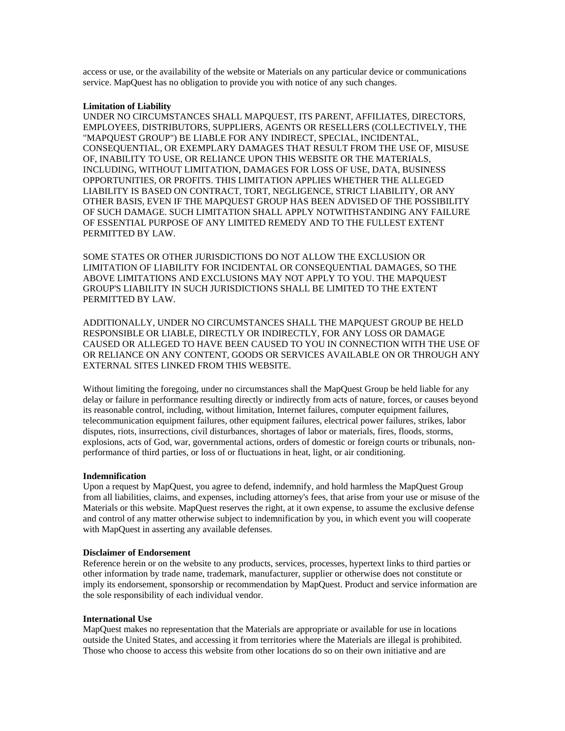access or use, or the availability of the website or Materials on any particular device or communications service. MapQuest has no obligation to provide you with notice of any such changes.

## **Limitation of Liability**

UNDER NO CIRCUMSTANCES SHALL MAPQUEST, ITS PARENT, AFFILIATES, DIRECTORS, EMPLOYEES, DISTRIBUTORS, SUPPLIERS, AGENTS OR RESELLERS (COLLECTIVELY, THE "MAPQUEST GROUP") BE LIABLE FOR ANY INDIRECT, SPECIAL, INCIDENTAL, CONSEQUENTIAL, OR EXEMPLARY DAMAGES THAT RESULT FROM THE USE OF, MISUSE OF, INABILITY TO USE, OR RELIANCE UPON THIS WEBSITE OR THE MATERIALS, INCLUDING, WITHOUT LIMITATION, DAMAGES FOR LOSS OF USE, DATA, BUSINESS OPPORTUNITIES, OR PROFITS. THIS LIMITATION APPLIES WHETHER THE ALLEGED LIABILITY IS BASED ON CONTRACT, TORT, NEGLIGENCE, STRICT LIABILITY, OR ANY OTHER BASIS, EVEN IF THE MAPQUEST GROUP HAS BEEN ADVISED OF THE POSSIBILITY OF SUCH DAMAGE. SUCH LIMITATION SHALL APPLY NOTWITHSTANDING ANY FAILURE OF ESSENTIAL PURPOSE OF ANY LIMITED REMEDY AND TO THE FULLEST EXTENT PERMITTED BY LAW.

SOME STATES OR OTHER JURISDICTIONS DO NOT ALLOW THE EXCLUSION OR LIMITATION OF LIABILITY FOR INCIDENTAL OR CONSEQUENTIAL DAMAGES, SO THE ABOVE LIMITATIONS AND EXCLUSIONS MAY NOT APPLY TO YOU. THE MAPQUEST GROUP'S LIABILITY IN SUCH JURISDICTIONS SHALL BE LIMITED TO THE EXTENT PERMITTED BY LAW.

ADDITIONALLY, UNDER NO CIRCUMSTANCES SHALL THE MAPQUEST GROUP BE HELD RESPONSIBLE OR LIABLE, DIRECTLY OR INDIRECTLY, FOR ANY LOSS OR DAMAGE CAUSED OR ALLEGED TO HAVE BEEN CAUSED TO YOU IN CONNECTION WITH THE USE OF OR RELIANCE ON ANY CONTENT, GOODS OR SERVICES AVAILABLE ON OR THROUGH ANY EXTERNAL SITES LINKED FROM THIS WEBSITE.

Without limiting the foregoing, under no circumstances shall the MapQuest Group be held liable for any delay or failure in performance resulting directly or indirectly from acts of nature, forces, or causes beyond its reasonable control, including, without limitation, Internet failures, computer equipment failures, telecommunication equipment failures, other equipment failures, electrical power failures, strikes, labor disputes, riots, insurrections, civil disturbances, shortages of labor or materials, fires, floods, storms, explosions, acts of God, war, governmental actions, orders of domestic or foreign courts or tribunals, nonperformance of third parties, or loss of or fluctuations in heat, light, or air conditioning.

#### **Indemnification**

Upon a request by MapQuest, you agree to defend, indemnify, and hold harmless the MapQuest Group from all liabilities, claims, and expenses, including attorney's fees, that arise from your use or misuse of the Materials or this website. MapQuest reserves the right, at it own expense, to assume the exclusive defense and control of any matter otherwise subject to indemnification by you, in which event you will cooperate with MapQuest in asserting any available defenses.

#### **Disclaimer of Endorsement**

Reference herein or on the website to any products, services, processes, hypertext links to third parties or other information by trade name, trademark, manufacturer, supplier or otherwise does not constitute or imply its endorsement, sponsorship or recommendation by MapQuest. Product and service information are the sole responsibility of each individual vendor.

## **International Use**

MapQuest makes no representation that the Materials are appropriate or available for use in locations outside the United States, and accessing it from territories where the Materials are illegal is prohibited. Those who choose to access this website from other locations do so on their own initiative and are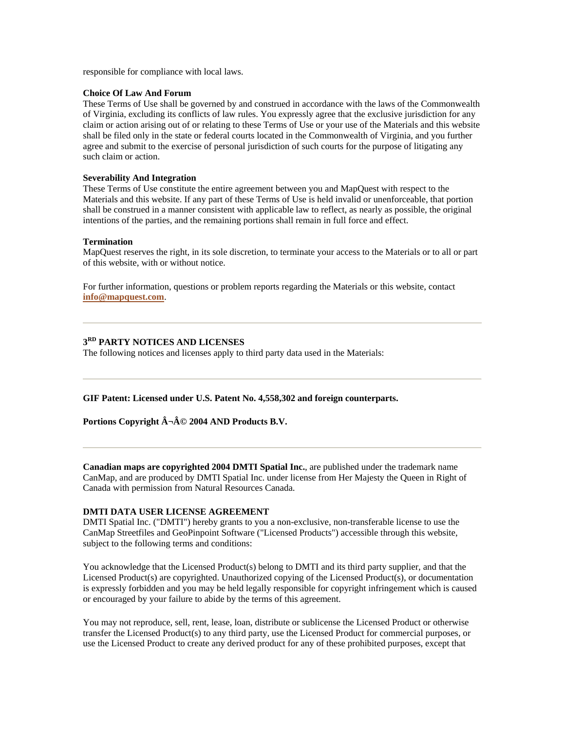responsible for compliance with local laws.

#### **Choice Of Law And Forum**

These Terms of Use shall be governed by and construed in accordance with the laws of the Commonwealth of Virginia, excluding its conflicts of law rules. You expressly agree that the exclusive jurisdiction for any claim or action arising out of or relating to these Terms of Use or your use of the Materials and this website shall be filed only in the state or federal courts located in the Commonwealth of Virginia, and you further agree and submit to the exercise of personal jurisdiction of such courts for the purpose of litigating any such claim or action.

## **Severability And Integration**

These Terms of Use constitute the entire agreement between you and MapQuest with respect to the Materials and this website. If any part of these Terms of Use is held invalid or unenforceable, that portion shall be construed in a manner consistent with applicable law to reflect, as nearly as possible, the original intentions of the parties, and the remaining portions shall remain in full force and effect.

#### **Termination**

MapQuest reserves the right, in its sole discretion, to terminate your access to the Materials or to all or part of this website, with or without notice.

For further information, questions or problem reports regarding the Materials or this website, contact **info@mapquest.com**.

# **3RD PARTY NOTICES AND LICENSES**

The following notices and licenses apply to third party data used in the Materials:

**GIF Patent: Licensed under U.S. Patent No. 4,558,302 and foreign counterparts.**

**Portions Copyright ¬Â© 2004 AND Products B.V.** 

**Canadian maps are copyrighted 2004 DMTI Spatial Inc.**, are published under the trademark name CanMap, and are produced by DMTI Spatial Inc. under license from Her Majesty the Queen in Right of Canada with permission from Natural Resources Canada.

## **DMTI DATA USER LICENSE AGREEMENT**

DMTI Spatial Inc. ("DMTI") hereby grants to you a non-exclusive, non-transferable license to use the CanMap Streetfiles and GeoPinpoint Software ("Licensed Products") accessible through this website, subject to the following terms and conditions:

You acknowledge that the Licensed Product(s) belong to DMTI and its third party supplier, and that the Licensed Product(s) are copyrighted. Unauthorized copying of the Licensed Product(s), or documentation is expressly forbidden and you may be held legally responsible for copyright infringement which is caused or encouraged by your failure to abide by the terms of this agreement.

You may not reproduce, sell, rent, lease, loan, distribute or sublicense the Licensed Product or otherwise transfer the Licensed Product(s) to any third party, use the Licensed Product for commercial purposes, or use the Licensed Product to create any derived product for any of these prohibited purposes, except that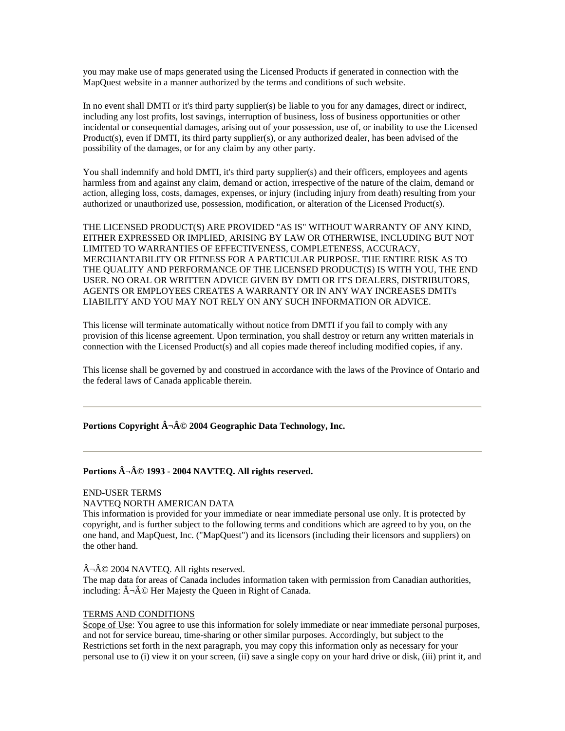you may make use of maps generated using the Licensed Products if generated in connection with the MapQuest website in a manner authorized by the terms and conditions of such website.

In no event shall DMTI or it's third party supplier(s) be liable to you for any damages, direct or indirect, including any lost profits, lost savings, interruption of business, loss of business opportunities or other incidental or consequential damages, arising out of your possession, use of, or inability to use the Licensed Product(s), even if DMTI, its third party supplier(s), or any authorized dealer, has been advised of the possibility of the damages, or for any claim by any other party.

You shall indemnify and hold DMTI, it's third party supplier(s) and their officers, employees and agents harmless from and against any claim, demand or action, irrespective of the nature of the claim, demand or action, alleging loss, costs, damages, expenses, or injury (including injury from death) resulting from your authorized or unauthorized use, possession, modification, or alteration of the Licensed Product(s).

THE LICENSED PRODUCT(S) ARE PROVIDED "AS IS" WITHOUT WARRANTY OF ANY KIND, EITHER EXPRESSED OR IMPLIED, ARISING BY LAW OR OTHERWISE, INCLUDING BUT NOT LIMITED TO WARRANTIES OF EFFECTIVENESS, COMPLETENESS, ACCURACY, MERCHANTABILITY OR FITNESS FOR A PARTICULAR PURPOSE. THE ENTIRE RISK AS TO THE QUALITY AND PERFORMANCE OF THE LICENSED PRODUCT(S) IS WITH YOU, THE END USER. NO ORAL OR WRITTEN ADVICE GIVEN BY DMTI OR IT'S DEALERS, DISTRIBUTORS, AGENTS OR EMPLOYEES CREATES A WARRANTY OR IN ANY WAY INCREASES DMTI's LIABILITY AND YOU MAY NOT RELY ON ANY SUCH INFORMATION OR ADVICE.

This license will terminate automatically without notice from DMTI if you fail to comply with any provision of this license agreement. Upon termination, you shall destroy or return any written materials in connection with the Licensed Product(s) and all copies made thereof including modified copies, if any.

This license shall be governed by and construed in accordance with the laws of the Province of Ontario and the federal laws of Canada applicable therein.

Portions Copyright  $\hat{A} \neg \hat{A} \odot 2004$  Geographic Data Technology, Inc.

# Portions  $\hat{A} \neg \hat{A} \odot 1993 - 2004$  NAVTEQ. All rights reserved.

#### END-USER TERMS

#### NAVTEQ NORTH AMERICAN DATA

This information is provided for your immediate or near immediate personal use only. It is protected by copyright, and is further subject to the following terms and conditions which are agreed to by you, on the one hand, and MapQuest, Inc. ("MapQuest") and its licensors (including their licensors and suppliers) on the other hand.

#### $\hat{A}$   $\neg$   $\hat{A}$   $\odot$  2004 NAVTEQ. All rights reserved.

The map data for areas of Canada includes information taken with permission from Canadian authorities, including:  $\hat{A} \neg \hat{A} \circledcirc$  Her Majesty the Queen in Right of Canada.

#### TERMS AND CONDITIONS

Scope of Use: You agree to use this information for solely immediate or near immediate personal purposes, and not for service bureau, time-sharing or other similar purposes. Accordingly, but subject to the Restrictions set forth in the next paragraph, you may copy this information only as necessary for your personal use to (i) view it on your screen, (ii) save a single copy on your hard drive or disk, (iii) print it, and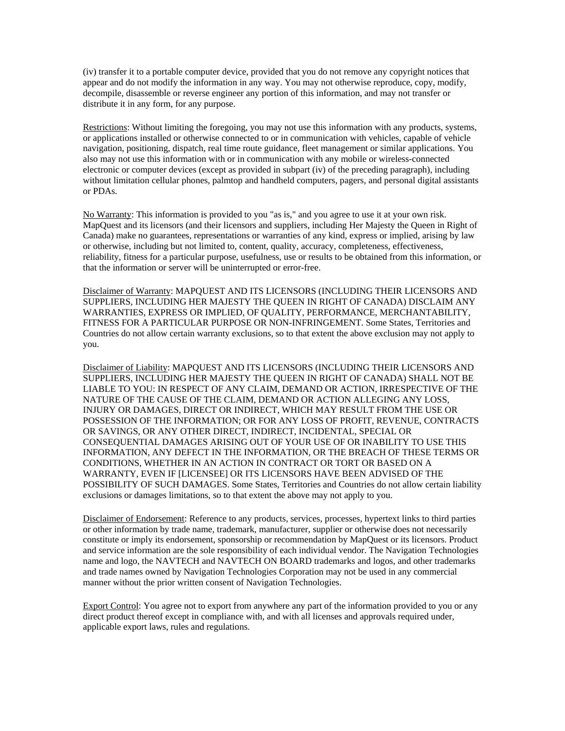(iv) transfer it to a portable computer device, provided that you do not remove any copyright notices that appear and do not modify the information in any way. You may not otherwise reproduce, copy, modify, decompile, disassemble or reverse engineer any portion of this information, and may not transfer or distribute it in any form, for any purpose.

Restrictions: Without limiting the foregoing, you may not use this information with any products, systems, or applications installed or otherwise connected to or in communication with vehicles, capable of vehicle navigation, positioning, dispatch, real time route guidance, fleet management or similar applications. You also may not use this information with or in communication with any mobile or wireless-connected electronic or computer devices (except as provided in subpart (iv) of the preceding paragraph), including without limitation cellular phones, palmtop and handheld computers, pagers, and personal digital assistants or PDAs.

No Warranty: This information is provided to you "as is," and you agree to use it at your own risk. MapQuest and its licensors (and their licensors and suppliers, including Her Majesty the Queen in Right of Canada) make no guarantees, representations or warranties of any kind, express or implied, arising by law or otherwise, including but not limited to, content, quality, accuracy, completeness, effectiveness, reliability, fitness for a particular purpose, usefulness, use or results to be obtained from this information, or that the information or server will be uninterrupted or error-free.

Disclaimer of Warranty: MAPQUEST AND ITS LICENSORS (INCLUDING THEIR LICENSORS AND SUPPLIERS, INCLUDING HER MAJESTY THE QUEEN IN RIGHT OF CANADA) DISCLAIM ANY WARRANTIES, EXPRESS OR IMPLIED, OF QUALITY, PERFORMANCE, MERCHANTABILITY, FITNESS FOR A PARTICULAR PURPOSE OR NON-INFRINGEMENT. Some States, Territories and Countries do not allow certain warranty exclusions, so to that extent the above exclusion may not apply to you.

Disclaimer of Liability: MAPQUEST AND ITS LICENSORS (INCLUDING THEIR LICENSORS AND SUPPLIERS, INCLUDING HER MAJESTY THE QUEEN IN RIGHT OF CANADA) SHALL NOT BE LIABLE TO YOU: IN RESPECT OF ANY CLAIM, DEMAND OR ACTION, IRRESPECTIVE OF THE NATURE OF THE CAUSE OF THE CLAIM, DEMAND OR ACTION ALLEGING ANY LOSS, INJURY OR DAMAGES, DIRECT OR INDIRECT, WHICH MAY RESULT FROM THE USE OR POSSESSION OF THE INFORMATION; OR FOR ANY LOSS OF PROFIT, REVENUE, CONTRACTS OR SAVINGS, OR ANY OTHER DIRECT, INDIRECT, INCIDENTAL, SPECIAL OR CONSEQUENTIAL DAMAGES ARISING OUT OF YOUR USE OF OR INABILITY TO USE THIS INFORMATION, ANY DEFECT IN THE INFORMATION, OR THE BREACH OF THESE TERMS OR CONDITIONS, WHETHER IN AN ACTION IN CONTRACT OR TORT OR BASED ON A WARRANTY, EVEN IF [LICENSEE] OR ITS LICENSORS HAVE BEEN ADVISED OF THE POSSIBILITY OF SUCH DAMAGES. Some States, Territories and Countries do not allow certain liability exclusions or damages limitations, so to that extent the above may not apply to you.

Disclaimer of Endorsement: Reference to any products, services, processes, hypertext links to third parties or other information by trade name, trademark, manufacturer, supplier or otherwise does not necessarily constitute or imply its endorsement, sponsorship or recommendation by MapQuest or its licensors. Product and service information are the sole responsibility of each individual vendor. The Navigation Technologies name and logo, the NAVTECH and NAVTECH ON BOARD trademarks and logos, and other trademarks and trade names owned by Navigation Technologies Corporation may not be used in any commercial manner without the prior written consent of Navigation Technologies.

Export Control: You agree not to export from anywhere any part of the information provided to you or any direct product thereof except in compliance with, and with all licenses and approvals required under, applicable export laws, rules and regulations.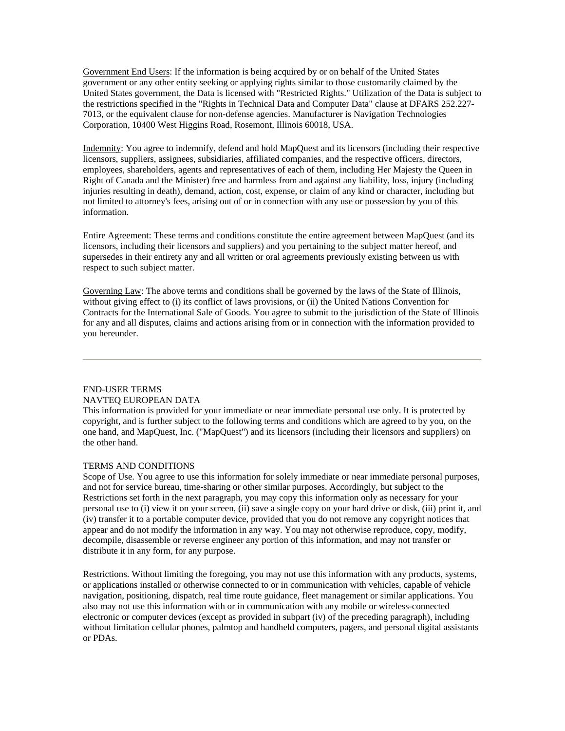Government End Users: If the information is being acquired by or on behalf of the United States government or any other entity seeking or applying rights similar to those customarily claimed by the United States government, the Data is licensed with "Restricted Rights." Utilization of the Data is subject to the restrictions specified in the "Rights in Technical Data and Computer Data" clause at DFARS 252.227- 7013, or the equivalent clause for non-defense agencies. Manufacturer is Navigation Technologies Corporation, 10400 West Higgins Road, Rosemont, Illinois 60018, USA.

Indemnity: You agree to indemnify, defend and hold MapQuest and its licensors (including their respective licensors, suppliers, assignees, subsidiaries, affiliated companies, and the respective officers, directors, employees, shareholders, agents and representatives of each of them, including Her Majesty the Queen in Right of Canada and the Minister) free and harmless from and against any liability, loss, injury (including injuries resulting in death), demand, action, cost, expense, or claim of any kind or character, including but not limited to attorney's fees, arising out of or in connection with any use or possession by you of this information.

Entire Agreement: These terms and conditions constitute the entire agreement between MapQuest (and its licensors, including their licensors and suppliers) and you pertaining to the subject matter hereof, and supersedes in their entirety any and all written or oral agreements previously existing between us with respect to such subject matter.

Governing Law: The above terms and conditions shall be governed by the laws of the State of Illinois, without giving effect to (i) its conflict of laws provisions, or (ii) the United Nations Convention for Contracts for the International Sale of Goods. You agree to submit to the jurisdiction of the State of Illinois for any and all disputes, claims and actions arising from or in connection with the information provided to you hereunder.

# END-USER TERMS NAVTEQ EUROPEAN DATA

This information is provided for your immediate or near immediate personal use only. It is protected by copyright, and is further subject to the following terms and conditions which are agreed to by you, on the one hand, and MapQuest, Inc. ("MapQuest") and its licensors (including their licensors and suppliers) on the other hand.

## TERMS AND CONDITIONS

Scope of Use. You agree to use this information for solely immediate or near immediate personal purposes, and not for service bureau, time-sharing or other similar purposes. Accordingly, but subject to the Restrictions set forth in the next paragraph, you may copy this information only as necessary for your personal use to (i) view it on your screen, (ii) save a single copy on your hard drive or disk, (iii) print it, and (iv) transfer it to a portable computer device, provided that you do not remove any copyright notices that appear and do not modify the information in any way. You may not otherwise reproduce, copy, modify, decompile, disassemble or reverse engineer any portion of this information, and may not transfer or distribute it in any form, for any purpose.

Restrictions. Without limiting the foregoing, you may not use this information with any products, systems, or applications installed or otherwise connected to or in communication with vehicles, capable of vehicle navigation, positioning, dispatch, real time route guidance, fleet management or similar applications. You also may not use this information with or in communication with any mobile or wireless-connected electronic or computer devices (except as provided in subpart (iv) of the preceding paragraph), including without limitation cellular phones, palmtop and handheld computers, pagers, and personal digital assistants or PDAs.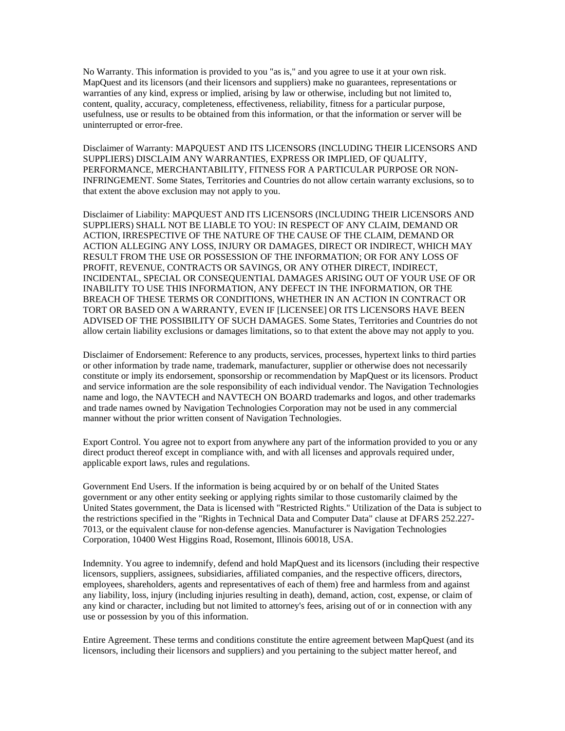No Warranty. This information is provided to you "as is," and you agree to use it at your own risk. MapQuest and its licensors (and their licensors and suppliers) make no guarantees, representations or warranties of any kind, express or implied, arising by law or otherwise, including but not limited to, content, quality, accuracy, completeness, effectiveness, reliability, fitness for a particular purpose, usefulness, use or results to be obtained from this information, or that the information or server will be uninterrupted or error-free.

Disclaimer of Warranty: MAPQUEST AND ITS LICENSORS (INCLUDING THEIR LICENSORS AND SUPPLIERS) DISCLAIM ANY WARRANTIES, EXPRESS OR IMPLIED, OF QUALITY, PERFORMANCE, MERCHANTABILITY, FITNESS FOR A PARTICULAR PURPOSE OR NON-INFRINGEMENT. Some States, Territories and Countries do not allow certain warranty exclusions, so to that extent the above exclusion may not apply to you.

Disclaimer of Liability: MAPQUEST AND ITS LICENSORS (INCLUDING THEIR LICENSORS AND SUPPLIERS) SHALL NOT BE LIABLE TO YOU: IN RESPECT OF ANY CLAIM, DEMAND OR ACTION, IRRESPECTIVE OF THE NATURE OF THE CAUSE OF THE CLAIM, DEMAND OR ACTION ALLEGING ANY LOSS, INJURY OR DAMAGES, DIRECT OR INDIRECT, WHICH MAY RESULT FROM THE USE OR POSSESSION OF THE INFORMATION; OR FOR ANY LOSS OF PROFIT, REVENUE, CONTRACTS OR SAVINGS, OR ANY OTHER DIRECT, INDIRECT, INCIDENTAL, SPECIAL OR CONSEQUENTIAL DAMAGES ARISING OUT OF YOUR USE OF OR INABILITY TO USE THIS INFORMATION, ANY DEFECT IN THE INFORMATION, OR THE BREACH OF THESE TERMS OR CONDITIONS, WHETHER IN AN ACTION IN CONTRACT OR TORT OR BASED ON A WARRANTY, EVEN IF [LICENSEE] OR ITS LICENSORS HAVE BEEN ADVISED OF THE POSSIBILITY OF SUCH DAMAGES. Some States, Territories and Countries do not allow certain liability exclusions or damages limitations, so to that extent the above may not apply to you.

Disclaimer of Endorsement: Reference to any products, services, processes, hypertext links to third parties or other information by trade name, trademark, manufacturer, supplier or otherwise does not necessarily constitute or imply its endorsement, sponsorship or recommendation by MapQuest or its licensors. Product and service information are the sole responsibility of each individual vendor. The Navigation Technologies name and logo, the NAVTECH and NAVTECH ON BOARD trademarks and logos, and other trademarks and trade names owned by Navigation Technologies Corporation may not be used in any commercial manner without the prior written consent of Navigation Technologies.

Export Control. You agree not to export from anywhere any part of the information provided to you or any direct product thereof except in compliance with, and with all licenses and approvals required under, applicable export laws, rules and regulations.

Government End Users. If the information is being acquired by or on behalf of the United States government or any other entity seeking or applying rights similar to those customarily claimed by the United States government, the Data is licensed with "Restricted Rights." Utilization of the Data is subject to the restrictions specified in the "Rights in Technical Data and Computer Data" clause at DFARS 252.227- 7013, or the equivalent clause for non-defense agencies. Manufacturer is Navigation Technologies Corporation, 10400 West Higgins Road, Rosemont, Illinois 60018, USA.

Indemnity. You agree to indemnify, defend and hold MapQuest and its licensors (including their respective licensors, suppliers, assignees, subsidiaries, affiliated companies, and the respective officers, directors, employees, shareholders, agents and representatives of each of them) free and harmless from and against any liability, loss, injury (including injuries resulting in death), demand, action, cost, expense, or claim of any kind or character, including but not limited to attorney's fees, arising out of or in connection with any use or possession by you of this information.

Entire Agreement. These terms and conditions constitute the entire agreement between MapQuest (and its licensors, including their licensors and suppliers) and you pertaining to the subject matter hereof, and